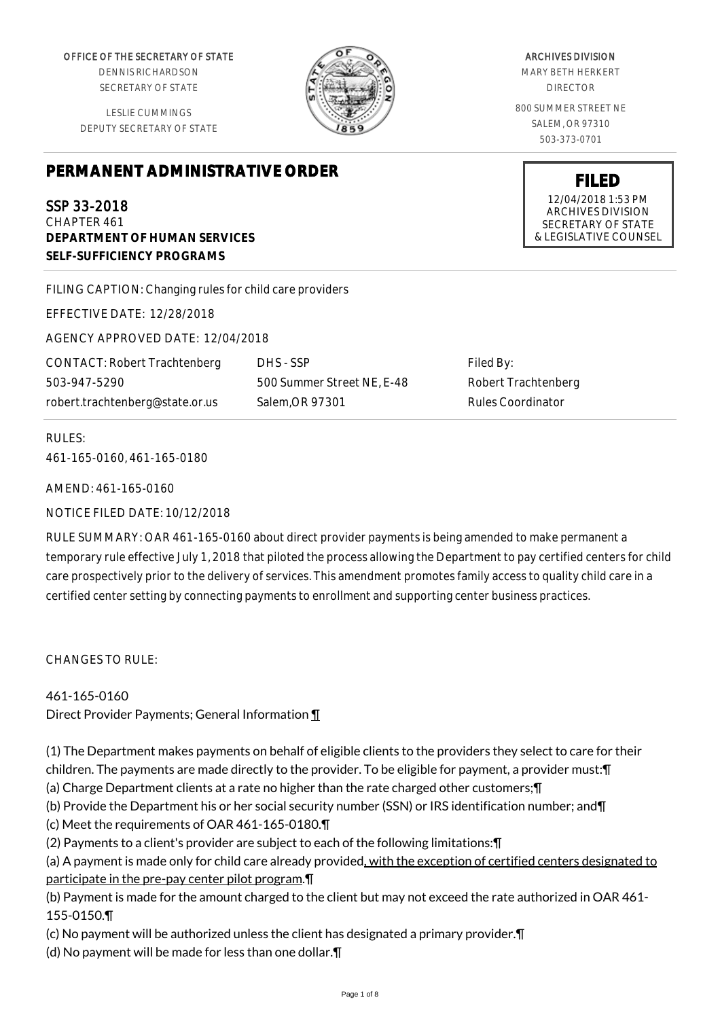OFFICE OF THE SECRETARY OF STATE

DENNIS RICHARDSON SECRETARY OF STATE

LESLIE CUMMINGS DEPUTY SECRETARY OF STATE

## **PERMANENT ADMINISTRATIVE ORDER**

SSP 33-2018 CHAPTER 461 **DEPARTMENT OF HUMAN SERVICES SELF-SUFFICIENCY PROGRAMS**

FILING CAPTION: Changing rules for child care providers

EFFECTIVE DATE: 12/28/2018

AGENCY APPROVED DATE: 12/04/2018

CONTACT: Robert Trachtenberg 503-947-5290 robert.trachtenberg@state.or.us

DHS - SSP 500 Summer Street NE, E-48 Salem,OR 97301

Filed By: Robert Trachtenberg Rules Coordinator

RULES: 461-165-0160, 461-165-0180

AMEND: 461-165-0160

NOTICE FILED DATE: 10/12/2018

RULE SUMMARY: OAR 461-165-0160 about direct provider payments is being amended to make permanent a temporary rule effective July 1, 2018 that piloted the process allowing the Department to pay certified centers for child care prospectively prior to the delivery of services. This amendment promotes family access to quality child care in a certified center setting by connecting payments to enrollment and supporting center business practices.

 $CHANGFS TO RIIF$ 

461-165-0160

Direct Provider Payments; General Information ¶

(1) The Department makes payments on behalf of eligible clients to the providers they select to care for their children. The payments are made directly to the provider. To be eligible for payment, a provider must:¶

(a) Charge Department clients at a rate no higher than the rate charged other customers;¶

(b) Provide the Department his or her social security number (SSN) or IRS identification number; and¶

(c) Meet the requirements of OAR 461-165-0180.¶

(2) Payments to a client's provider are subject to each of the following limitations:¶

(a) A payment is made only for child care already provided, with the exception of certified centers designated to participate in the pre-pay center pilot program.¶

(b) Payment is made for the amount charged to the client but may not exceed the rate authorized in OAR 461- 155-0150.¶

(c) No payment will be authorized unless the client has designated a primary provider.¶

(d) No payment will be made for less than one dollar.¶

ARCHIVES DIVISION

MARY BETH HERKERT DIRECTOR

800 SUMMER STREET NE SALEM, OR 97310 503-373-0701

> **FILED** 12/04/2018 1:53 PM ARCHIVES DIVISION SECRETARY OF STATE & LEGISLATIVE COUNSEL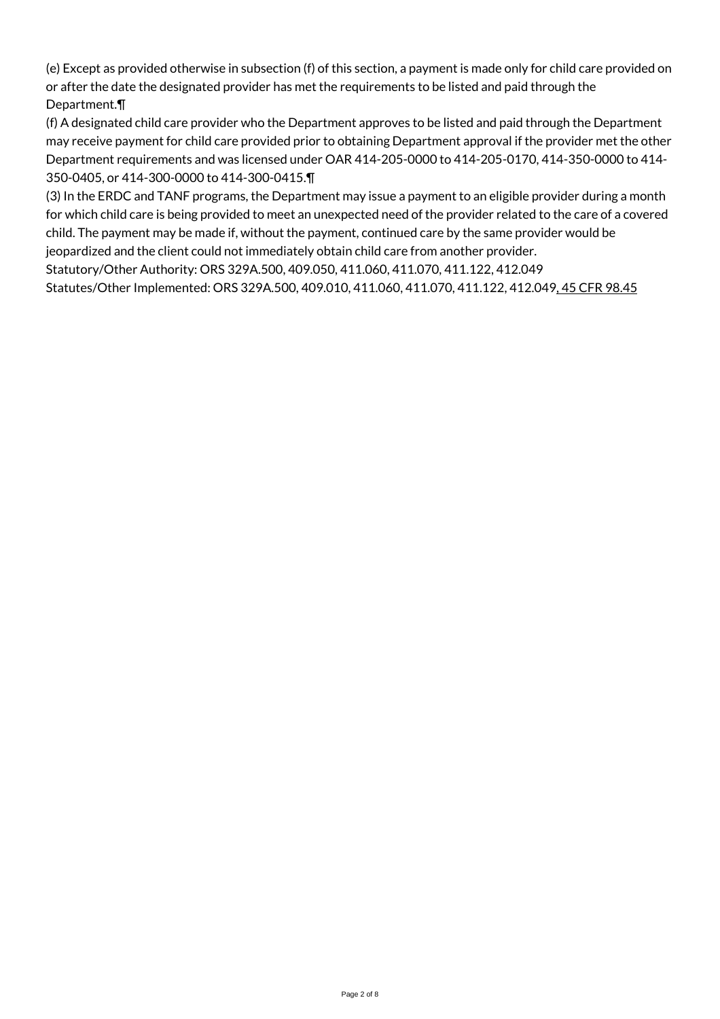(e) Except as provided otherwise in subsection (f) of this section, a payment is made only for child care provided on or after the date the designated provider has met the requirements to be listed and paid through the Department.¶

(f) A designated child care provider who the Department approves to be listed and paid through the Department may receive payment for child care provided prior to obtaining Department approval if the provider met the other Department requirements and was licensed under OAR 414-205-0000 to 414-205-0170, 414-350-0000 to 414- 350-0405, or 414-300-0000 to 414-300-0415.¶

(3) In the ERDC and TANF programs, the Department may issue a payment to an eligible provider during a month for which child care is being provided to meet an unexpected need of the provider related to the care of a covered child. The payment may be made if, without the payment, continued care by the same provider would be jeopardized and the client could not immediately obtain child care from another provider.

Statutory/Other Authority: ORS 329A.500, 409.050, 411.060, 411.070, 411.122, 412.049

Statutes/Other Implemented: ORS 329A.500, 409.010, 411.060, 411.070, 411.122, 412.049, 45 CFR 98.45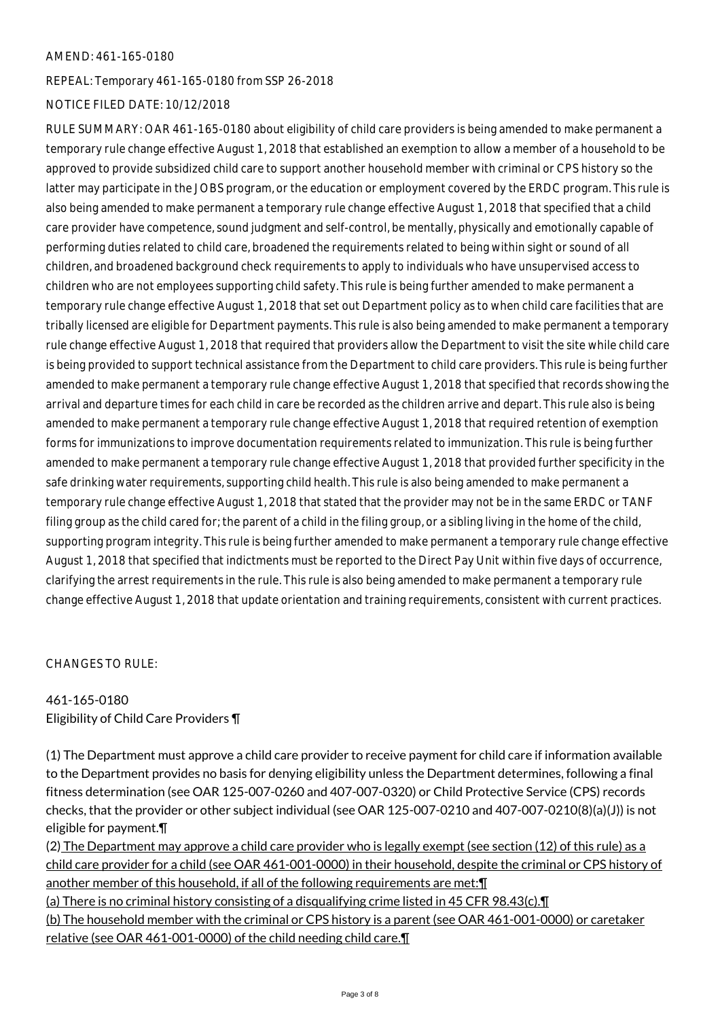## AMEND: 461-165-0180

REPEAL: Temporary 461-165-0180 from SSP 26-2018

## NOTICE FILED DATE: 10/12/2018

RULE SUMMARY: OAR 461-165-0180 about eligibility of child care providers is being amended to make permanent a temporary rule change effective August 1, 2018 that established an exemption to allow a member of a household to be approved to provide subsidized child care to support another household member with criminal or CPS history so the latter may participate in the JOBS program, or the education or employment covered by the ERDC program. This rule is also being amended to make permanent a temporary rule change effective August 1, 2018 that specified that a child care provider have competence, sound judgment and self-control, be mentally, physically and emotionally capable of performing duties related to child care, broadened the requirements related to being within sight or sound of all children, and broadened background check requirements to apply to individuals who have unsupervised access to children who are not employees supporting child safety. This rule is being further amended to make permanent a temporary rule change effective August 1, 2018 that set out Department policy as to when child care facilities that are tribally licensed are eligible for Department payments. This rule is also being amended to make permanent a temporary rule change effective August 1, 2018 that required that providers allow the Department to visit the site while child care is being provided to support technical assistance from the Department to child care providers. This rule is being further amended to make permanent a temporary rule change effective August 1, 2018 that specified that records showing the arrival and departure times for each child in care be recorded as the children arrive and depart. This rule also is being amended to make permanent a temporary rule change effective August 1, 2018 that required retention of exemption forms for immunizations to improve documentation requirements related to immunization. This rule is being further amended to make permanent a temporary rule change effective August 1, 2018 that provided further specificity in the safe drinking water requirements, supporting child health. This rule is also being amended to make permanent a temporary rule change effective August 1, 2018 that stated that the provider may not be in the same ERDC or TANF filing group as the child cared for; the parent of a child in the filing group, or a sibling living in the home of the child, supporting program integrity. This rule is being further amended to make permanent a temporary rule change effective August 1, 2018 that specified that indictments must be reported to the Direct Pay Unit within five days of occurrence, clarifying the arrest requirements in the rule. This rule is also being amended to make permanent a temporary rule change effective August 1, 2018 that update orientation and training requirements, consistent with current practices.

CHANGES TO RULE:

## 461-165-0180 Eligibility of Child Care Providers ¶

(1) The Department must approve a child care provider to receive payment for child care if information available to the Department provides no basis for denying eligibility unless the Department determines, following a final fitness determination (see OAR 125-007-0260 and 407-007-0320) or Child Protective Service (CPS) records checks, that the provider or other subject individual (see OAR 125-007-0210 and 407-007-0210(8)(a)(J)) is not eligible for payment.¶

(2) The Department may approve a child care provider who is legally exempt (see section (12) of this rule) as a child care provider for a child (see OAR 461-001-0000) in their household, despite the criminal or CPS history of another member of this household, if all of the following requirements are met:¶

(a) There is no criminal history consisting of a disqualifying crime listed in 45 CFR 98.43(c).¶

(b) The household member with the criminal or CPS history is a parent (see OAR 461-001-0000) or caretaker relative (see OAR 461-001-0000) of the child needing child care.¶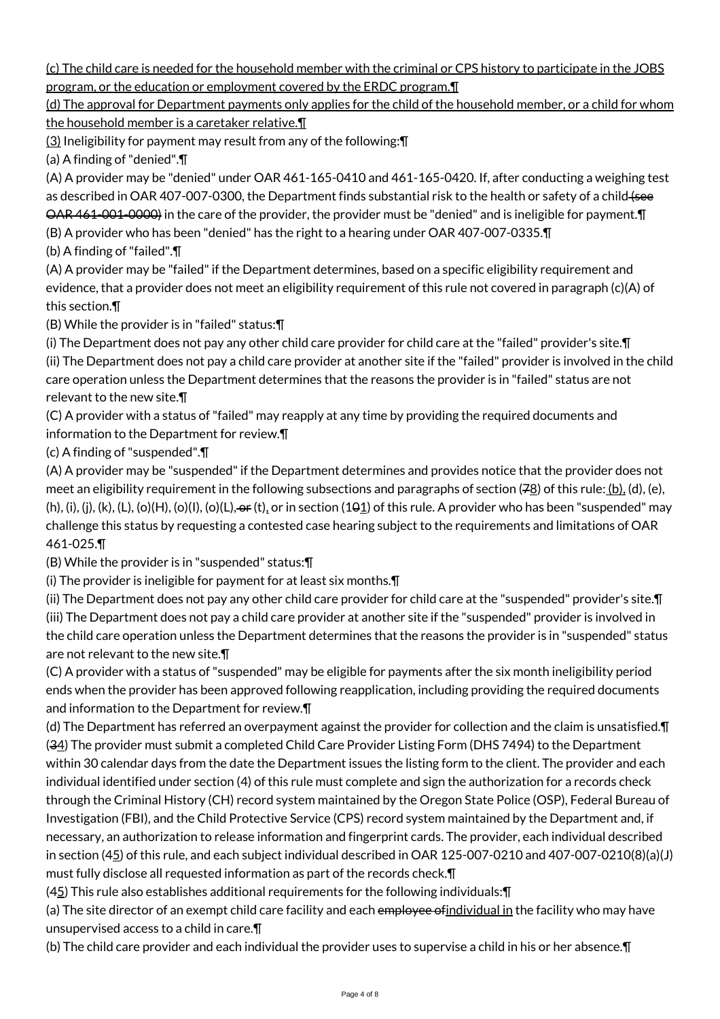(c) The child care is needed for the household member with the criminal or CPS history to participate in the JOBS program, or the education or employment covered by the ERDC program.¶

(d) The approval for Department payments only applies for the child of the household member, or a child for whom the household member is a caretaker relative.¶

(3) Ineligibility for payment may result from any of the following:¶

(a) A finding of "denied".¶

(A) A provider may be "denied" under OAR 461-165-0410 and 461-165-0420. If, after conducting a weighing test as described in OAR 407-007-0300, the Department finds substantial risk to the health or safety of a child (see OAR 461-001-0000) in the care of the provider, the provider must be "denied" and is ineligible for payment.¶ (B) A provider who has been "denied" has the right to a hearing under OAR 407-007-0335.¶

(b) A finding of "failed".¶

(A) A provider may be "failed" if the Department determines, based on a specific eligibility requirement and evidence, that a provider does not meet an eligibility requirement of this rule not covered in paragraph (c)(A) of this section.¶

(B) While the provider is in "failed" status:¶

(i) The Department does not pay any other child care provider for child care at the "failed" provider's site.¶ (ii) The Department does not pay a child care provider at another site if the "failed" provider is involved in the child care operation unless the Department determines that the reasons the provider is in "failed" status are not relevant to the new site.¶

(C) A provider with a status of "failed" may reapply at any time by providing the required documents and information to the Department for review.¶

(c) A finding of "suspended".¶

(A) A provider may be "suspended" if the Department determines and provides notice that the provider does not meet an eligibility requirement in the following subsections and paragraphs of section (78) of this rule: (b), (d), (e), (h), (i), (j), (k), (L), (o)(H), (o)(l), (o)(L),  $\Theta$  (t), or in section (10<u>1</u>) of this rule. A provider who has been "suspended" may challenge this status by requesting a contested case hearing subject to the requirements and limitations of OAR 461-025.¶

(B) While the provider is in "suspended" status:¶

(i) The provider is ineligible for payment for at least six months.¶

(ii) The Department does not pay any other child care provider for child care at the "suspended" provider's site.¶ (iii) The Department does not pay a child care provider at another site if the "suspended" provider is involved in the child care operation unless the Department determines that the reasons the provider is in "suspended" status are not relevant to the new site.¶

(C) A provider with a status of "suspended" may be eligible for payments after the six month ineligibility period ends when the provider has been approved following reapplication, including providing the required documents and information to the Department for review.¶

(d) The Department has referred an overpayment against the provider for collection and the claim is unsatisfied.¶ (34) The provider must submit a completed Child Care Provider Listing Form (DHS 7494) to the Department within 30 calendar days from the date the Department issues the listing form to the client. The provider and each individual identified under section (4) of this rule must complete and sign the authorization for a records check through the Criminal History (CH) record system maintained by the Oregon State Police (OSP), Federal Bureau of Investigation (FBI), and the Child Protective Service (CPS) record system maintained by the Department and, if necessary, an authorization to release information and fingerprint cards. The provider, each individual described in section (45) of this rule, and each subject individual described in OAR 125-007-0210 and 407-007-0210(8)(a)(J) must fully disclose all requested information as part of the records check.¶

(45) This rule also establishes additional requirements for the following individuals:¶

(a) The site director of an exempt child care facility and each employee of individual in the facility who may have unsupervised access to a child in care.¶

(b) The child care provider and each individual the provider uses to supervise a child in his or her absence.¶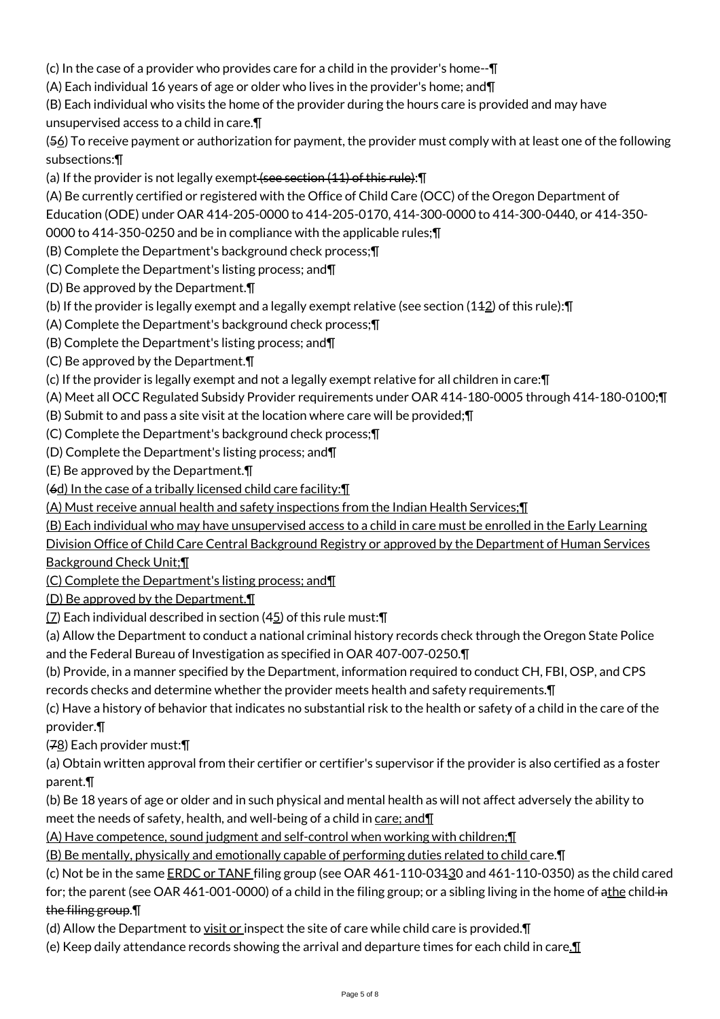(c) In the case of a provider who provides care for a child in the provider's home--¶

(A) Each individual 16 years of age or older who lives in the provider's home; and¶

(B) Each individual who visits the home of the provider during the hours care is provided and may have unsupervised access to a child in care.¶

(56) To receive payment or authorization for payment, the provider must comply with at least one of the following subsections:¶

(a) If the provider is not legally exempt (see section (11) of this rule): [

(A) Be currently certified or registered with the Office of Child Care (OCC) of the Oregon Department of

Education (ODE) under OAR 414-205-0000 to 414-205-0170, 414-300-0000 to 414-300-0440, or 414-350-

0000 to 414-350-0250 and be in compliance with the applicable rules;¶

(B) Complete the Department's background check process;¶

(C) Complete the Department's listing process; and¶

(D) Be approved by the Department.¶

(b) If the provider is legally exempt and a legally exempt relative (see section (112) of this rule):¶

(A) Complete the Department's background check process;¶

(B) Complete the Department's listing process; and¶

(C) Be approved by the Department.¶

(c) If the provider is legally exempt and not a legally exempt relative for all children in care:¶

(A) Meet all OCC Regulated Subsidy Provider requirements under OAR 414-180-0005 through 414-180-0100;¶

(B) Submit to and pass a site visit at the location where care will be provided;¶

(C) Complete the Department's background check process;¶

(D) Complete the Department's listing process; and¶

(E) Be approved by the Department.¶

(6d) In the case of a tribally licensed child care facility:¶

(A) Must receive annual health and safety inspections from the Indian Health Services;¶

(B) Each individual who may have unsupervised access to a child in care must be enrolled in the Early Learning

Division Office of Child Care Central Background Registry or approved by the Department of Human Services Background Check Unit;¶

(C) Complete the Department's listing process; and¶

(D) Be approved by the Department.¶

(7) Each individual described in section (45) of this rule must:¶

(a) Allow the Department to conduct a national criminal history records check through the Oregon State Police and the Federal Bureau of Investigation as specified in OAR 407-007-0250.¶

(b) Provide, in a manner specified by the Department, information required to conduct CH, FBI, OSP, and CPS records checks and determine whether the provider meets health and safety requirements.¶

(c) Have a history of behavior that indicates no substantial risk to the health or safety of a child in the care of the provider.¶

(78) Each provider must:¶

(a) Obtain written approval from their certifier or certifier's supervisor if the provider is also certified as a foster parent.¶

(b) Be 18 years of age or older and in such physical and mental health as will not affect adversely the ability to meet the needs of safety, health, and well-being of a child in care; and II

(A) Have competence, sound judgment and self-control when working with children;¶

(B) Be mentally, physically and emotionally capable of performing duties related to child care.¶

(c) Not be in the same ERDC or TANF filing group (see OAR 461-110-03130 and 461-110-0350) as the child cared

for; the parent (see OAR 461-001-0000) of a child in the filing group; or a sibling living in the home of athe child in the filing group.¶

(d) Allow the Department to  $y$ isit or inspect the site of care while child care is provided. $\P$ 

(e) Keep daily attendance records showing the arrival and departure times for each child in care. $\P$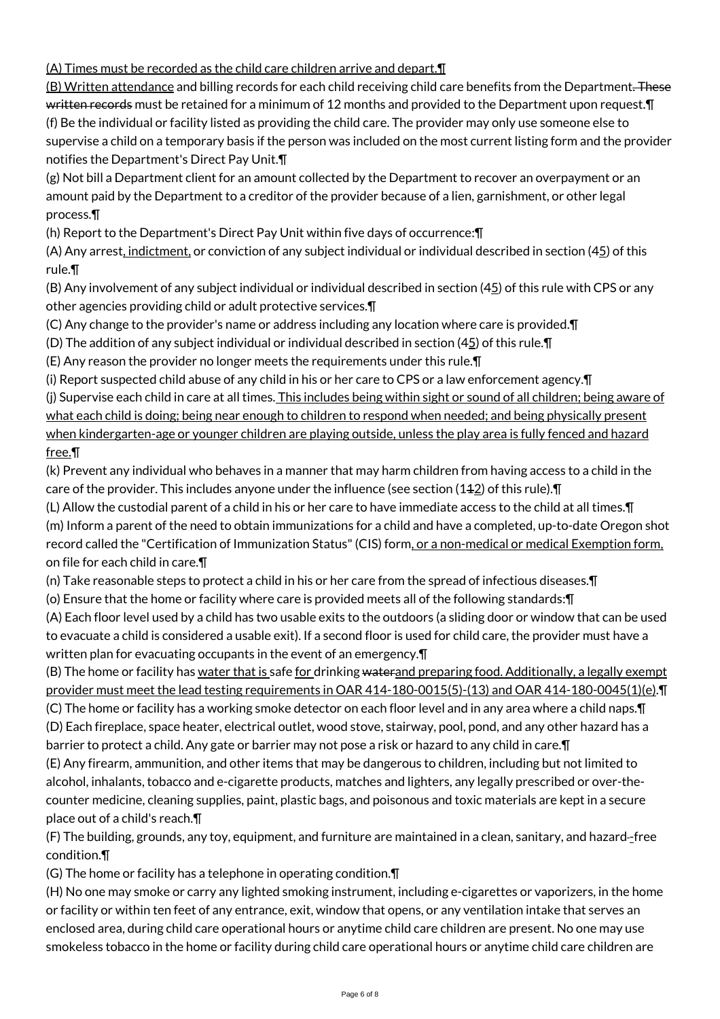(A) Times must be recorded as the child care children arrive and depart.¶

(B) Written attendance and billing records for each child receiving child care benefits from the Department. These written records must be retained for a minimum of 12 months and provided to the Department upon request. T (f) Be the individual or facility listed as providing the child care. The provider may only use someone else to supervise a child on a temporary basis if the person was included on the most current listing form and the provider notifies the Department's Direct Pay Unit.¶

(g) Not bill a Department client for an amount collected by the Department to recover an overpayment or an amount paid by the Department to a creditor of the provider because of a lien, garnishment, or other legal process.¶

(h) Report to the Department's Direct Pay Unit within five days of occurrence:¶

(A) Any arrest, indictment, or conviction of any subject individual or individual described in section (45) of this rule.¶

(B) Any involvement of any subject individual or individual described in section  $(45)$  of this rule with CPS or any other agencies providing child or adult protective services.¶

(C) Any change to the provider's name or address including any location where care is provided.¶

(D) The addition of any subject individual or individual described in section (45) of this rule.¶

(E) Any reason the provider no longer meets the requirements under this rule.¶

(i) Report suspected child abuse of any child in his or her care to CPS or a law enforcement agency.¶ (j) Supervise each child in care at all times. This includes being within sight or sound of all children; being aware of what each child is doing; being near enough to children to respond when needed; and being physically present when kindergarten-age or younger children are playing outside, unless the play area is fully fenced and hazard free.¶

(k) Prevent any individual who behaves in a manner that may harm children from having access to a child in the care of the provider. This includes anyone under the influence (see section (112) of this rule).¶

(L) Allow the custodial parent of a child in his or her care to have immediate access to the child at all times.¶ (m) Inform a parent of the need to obtain immunizations for a child and have a completed, up-to-date Oregon shot record called the "Certification of Immunization Status" (CIS) form, or a non-medical or medical Exemption form, on file for each child in care.¶

(n) Take reasonable steps to protect a child in his or her care from the spread of infectious diseases.¶

(o) Ensure that the home or facility where care is provided meets all of the following standards:¶

(A) Each floor level used by a child has two usable exits to the outdoors (a sliding door or window that can be used to evacuate a child is considered a usable exit). If a second floor is used for child care, the provider must have a written plan for evacuating occupants in the event of an emergency.¶

(B) The home or facility has <u>water that is</u> safe <u>for drinking waterand preparing food. Additionally, a legally exempt</u> provider must meet the lead testing requirements in OAR 414-180-0015(5)-(13) and OAR 414-180-0045(1)(e).¶

(C) The home or facility has a working smoke detector on each floor level and in any area where a child naps.¶ (D) Each fireplace, space heater, electrical outlet, wood stove, stairway, pool, pond, and any other hazard has a barrier to protect a child. Any gate or barrier may not pose a risk or hazard to any child in care.¶

(E) Any firearm, ammunition, and other items that may be dangerous to children, including but not limited to alcohol, inhalants, tobacco and e-cigarette products, matches and lighters, any legally prescribed or over-thecounter medicine, cleaning supplies, paint, plastic bags, and poisonous and toxic materials are kept in a secure place out of a child's reach.¶

(F) The building, grounds, any toy, equipment, and furniture are maintained in a clean, sanitary, and hazard -free condition.¶

(G) The home or facility has a telephone in operating condition.¶

(H) No one may smoke or carry any lighted smoking instrument, including e-cigarettes or vaporizers, in the home or facility or within ten feet of any entrance, exit, window that opens, or any ventilation intake that serves an enclosed area, during child care operational hours or anytime child care children are present. No one may use smokeless tobacco in the home or facility during child care operational hours or anytime child care children are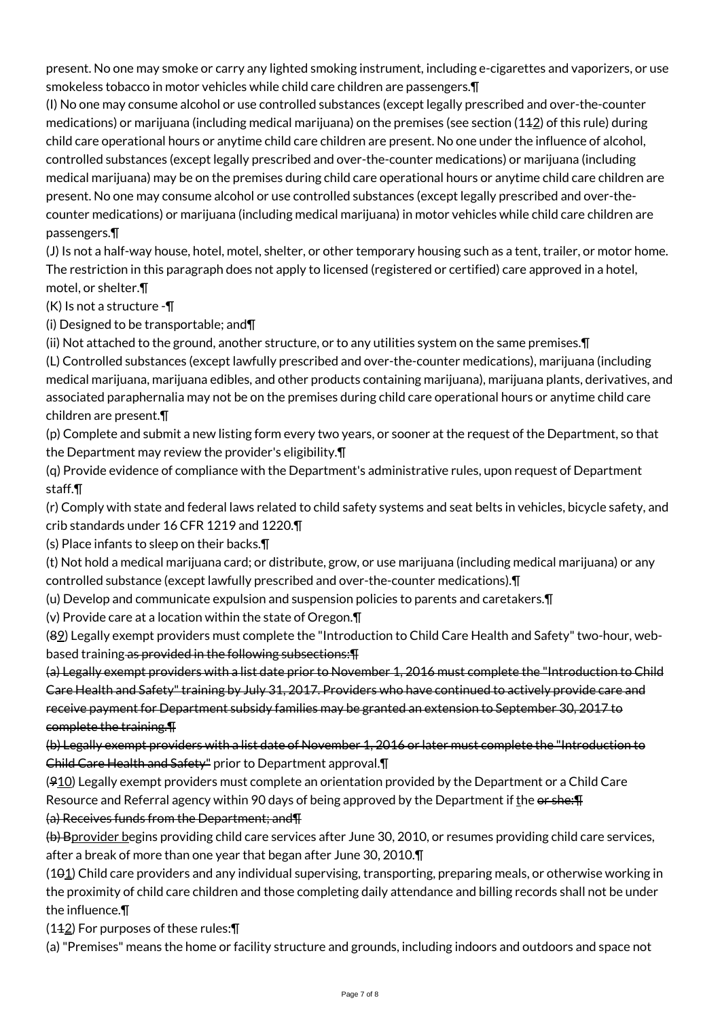present. No one may smoke or carry any lighted smoking instrument, including e-cigarettes and vaporizers, or use smokeless tobacco in motor vehicles while child care children are passengers.¶

(I) No one may consume alcohol or use controlled substances (except legally prescribed and over-the-counter medications) or marijuana (including medical marijuana) on the premises (see section (14 $2$ ) of this rule) during child care operational hours or anytime child care children are present. No one under the influence of alcohol, controlled substances (except legally prescribed and over-the-counter medications) or marijuana (including medical marijuana) may be on the premises during child care operational hours or anytime child care children are present. No one may consume alcohol or use controlled substances (except legally prescribed and over-thecounter medications) or marijuana (including medical marijuana) in motor vehicles while child care children are passengers.¶

(J) Is not a half-way house, hotel, motel, shelter, or other temporary housing such as a tent, trailer, or motor home. The restriction in this paragraph does not apply to licensed (registered or certified) care approved in a hotel, motel, or shelter.¶

(K) Is not a structure -¶

(i) Designed to be transportable; and¶

(ii) Not attached to the ground, another structure, or to any utilities system on the same premises.¶

(L) Controlled substances (except lawfully prescribed and over-the-counter medications), marijuana (including medical marijuana, marijuana edibles, and other products containing marijuana), marijuana plants, derivatives, and associated paraphernalia may not be on the premises during child care operational hours or anytime child care children are present.¶

(p) Complete and submit a new listing form every two years, or sooner at the request of the Department, so that the Department may review the provider's eligibility.¶

(q) Provide evidence of compliance with the Department's administrative rules, upon request of Department staff.¶

(r) Comply with state and federal laws related to child safety systems and seat belts in vehicles, bicycle safety, and crib standards under 16 CFR 1219 and 1220.¶

(s) Place infants to sleep on their backs.¶

(t) Not hold a medical marijuana card; or distribute, grow, or use marijuana (including medical marijuana) or any controlled substance (except lawfully prescribed and over-the-counter medications).¶

(u) Develop and communicate expulsion and suspension policies to parents and caretakers.¶

(v) Provide care at a location within the state of Oregon.¶

(89) Legally exempt providers must complete the "Introduction to Child Care Health and Safety" two-hour, webbased training as provided in the following subsections:¶

(a) Legally exempt providers with a list date prior to November 1, 2016 must complete the "Introduction to Child Care Health and Safety" training by July 31, 2017. Providers who have continued to actively provide care and receive payment for Department subsidy families may be granted an extension to September 30, 2017 to complete the training.¶

(b) Legally exempt providers with a list date of November 1, 2016 or later must complete the "Introduction to Child Care Health and Safety" prior to Department approval.¶

 $(910)$  Legally exempt providers must complete an orientation provided by the Department or a Child Care Resource and Referral agency within 90 days of being approved by the Department if the or she: F (a) Receives funds from the Department; and¶

(b) Bprovider begins providing child care services after June 30, 2010, or resumes providing child care services, after a break of more than one year that began after June 30, 2010.¶

(101) Child care providers and any individual supervising, transporting, preparing meals, or otherwise working in the proximity of child care children and those completing daily attendance and billing records shall not be under the influence.¶

 $(142)$  For purposes of these rules: $\P$ 

(a) "Premises" means the home or facility structure and grounds, including indoors and outdoors and space not